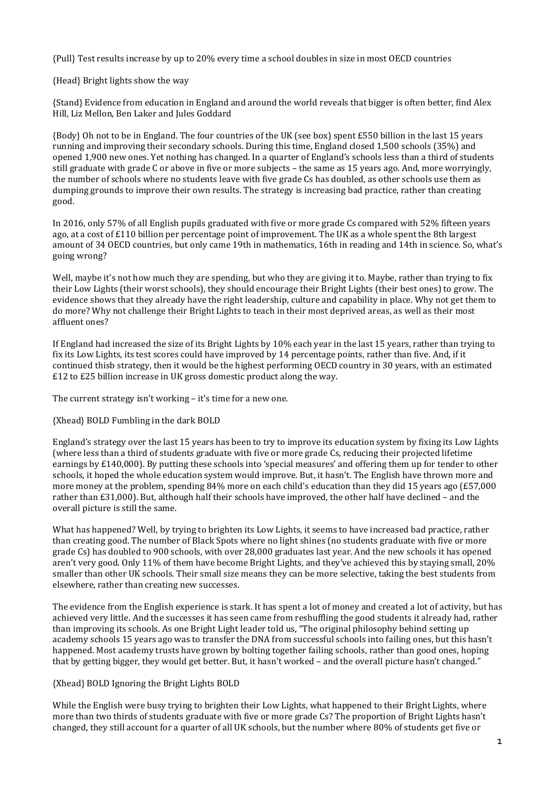{Pull} Test results [increase](http://pisadataexplorer.oecd.org/ide/idepisa/dataset.aspx) by up to 20% every time a school doubles in size in most OECD countries

{Head} Bright lights show the way

{Stand} Evidence from education in England and around the world reveals that bigger is often better, find Alex Hill, Liz Mellon, Ben Laker and Jules Goddard

{Body} Oh not to be in England. The four countries of the UK (see box) spent £550 [billion](https://www.ifs.org.uk/publications/8937) in the last 15 years running and improving their secondary schools. During this time, England closed 1,500 schools (35%) and opened 1,900 new ones. Yet nothing has changed. In a quarter of England's schools less than a third of students still graduate with grade C or above in five or more subjects – the same as 15 years ago. And, more worryingly, the number of schools where no students leave with five grade Cs has doubled, as other schools use them as [dumping](https://hbr.org/2016/10/the-one-type-of-leader-who-can-turn-around-a-failing-school) grounds to improve their own results. The strategy is increasing bad practice, rather than creating good.

In 2016, only 57% of all English pupils graduated with five or more grade Cs compared with 52% fifteen years ago, at a cost of £110 billion per percentage point of improvement. The UK as a whole spent the 8th largest amount of 34 OECD [countries,](http://www.oecd.org/pisa/) but only came 19th in mathematics, 16th in reading and 14th in science. So, what's going wrong?

Well, maybe it's not how much they are spending, but who they are giving it to. Maybe, rather than trying to fix their Low Lights (their worst schools), they should encourage their Bright Lights (their best ones) to grow. The evidence shows that they already have the right [leadership,](https://hbr.org/2017/09/research-how-the-best-school-leaders-create-enduring-change#comment-section) culture and capability in place. Why not get them to do more? Why not challenge their Bright Lights to teach in their most deprived areas, as well as their most affluent ones?

If England had increased the size of its Bright Lights by 10% each year in the last 15 years, rather than trying to fix its Low Lights, its test scores could have improved by 14 percentage points, rather than five. And, if it continued thisb strategy, then it would be the highest performing OECD country in 30 years, with an estimated £12 to £25 billion increase in UK gross [domestic](http://onlinelibrary.wiley.com/doi/10.1111/j.1467-8586.2012.00469.x/abstract) product along the way.

The current strategy isn't working – it's time for a new one.

# {Xhead} BOLD Fumbling in the dark BOLD

England's strategy over the last 15 years has been to try to improve its education system by fixing its Low Lights (where less than a third of students graduate with five or more grade Cs, reducing their [projected](https://www.gov.uk/government/news/school-success-adds-140000-to-wages-research-reveals) lifetime earnings by [£140,000\)](https://www.gov.uk/government/news/school-success-adds-140000-to-wages-research-reveals). By putting these schools into 'special measures' and offering them up for tender to other schools, it hoped the whole education system would improve. But, it hasn't. The English have thrown more and more money at the problem, spending 84% more on each child's [education](https://www.ifs.org.uk/publications/8236) than they did 15 years ago (£57,000 rather than £31,000). But, although half their schools have improved, the other half have declined – and the overall picture is still the same.

What has happened? Well, by trying to brighten its Low Lights, it seems to have increased bad practice, rather than creating good. The number of Black Spots where no light shines (no students graduate with five or more grade Cs) has doubled to 900 schools, with over 28,000 graduates last year. And the new schools it has opened aren't very good. Only 11% of them have become Bright Lights, and they've achieved this by staying small, 20% smaller than other UK schools. Their small size means they can be more selective, taking the best students from elsewhere, rather than creating new successes.

The evidence from the English experience is stark. It has spent a lot of money and created a lot of activity, but has achieved very little. And the successes it has seen came from reshuffling the good students it already had, rather than improving its schools. As one Bright Light leader told us, "The original philosophy behind setting up academy schools 15 years ago was to transfer the DNA from successful schools into failing ones, but this hasn't happened. Most academy trusts have grown by bolting together failing schools, rather than good ones, hoping that by getting bigger, they would get better. But, it hasn't worked – and the overall picture hasn't changed."

## {Xhead} BOLD Ignoring the Bright Lights BOLD

While the English were busy trying to brighten their Low Lights, what happened to their Bright Lights, where more than two thirds of students graduate with five or more grade Cs? The proportion of Bright Lights hasn't changed, they still account for a quarter of all UK schools, but the number where 80% of students get five or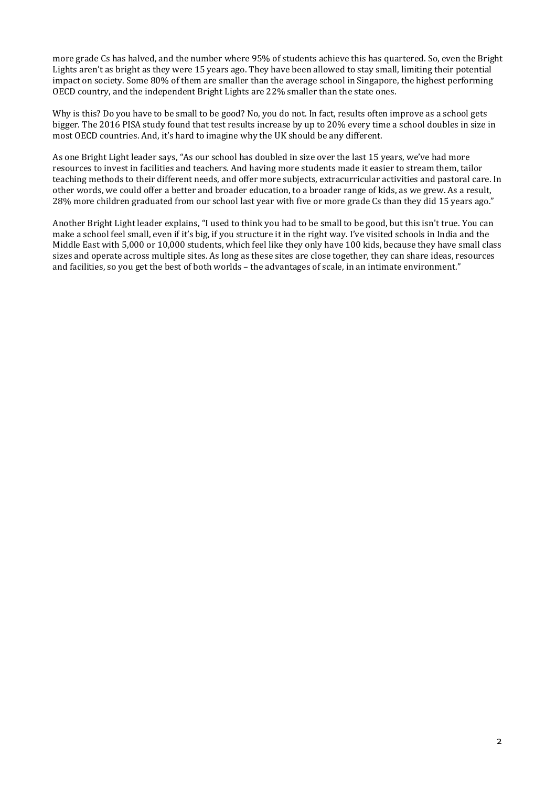more grade Cs has halved, and the number where 95% of students achieve this has quartered. So, even the Bright Lights aren't as bright as they were 15 years ago. They have been allowed to stay small, limiting their potential impact on society. Some 80% of them are smaller than the average school in Singapore, the highest performing OECD country, and the independent Bright Lights are 22% smaller than the state ones.

Why is this? Do you have to be small to be good? No, you do not. In fact, results often improve as a school gets bigger. The 2016 PISA study found that test results [increase](http://pisadataexplorer.oecd.org/ide/idepisa/dataset.aspx) by up to 20% every time a school doubles in size in most OECD countries. And, it's hard to imagine why the UK should be any different.

As one Bright Light leader says, "As our school has doubled in size over the last 15 years, we've had more resources to invest in facilities and teachers. And having more students made it easier to stream them, tailor teaching methods to their different needs, and offer more subjects, extracurricular activities and pastoral care. In other words, we could offer a better and broader education, to a broader range of kids, as we grew. As a result, 28% more children graduated from our school last year with five or more grade Cs than they did 15 years ago."

Another Bright Light leader explains, "I used to think you had to be small to be good, but this isn't true. You can make a school feel small, even if it's big, if you structure it in the right way. I've visited schools in India and the Middle East with 5,000 or 10,000 students, which feel like they only have 100 kids, because they have small class sizes and operate across multiple sites. As long as these sites are close together, they can share ideas, resources and facilities, so you get the best of both worlds – the advantages of scale, in an intimate environment."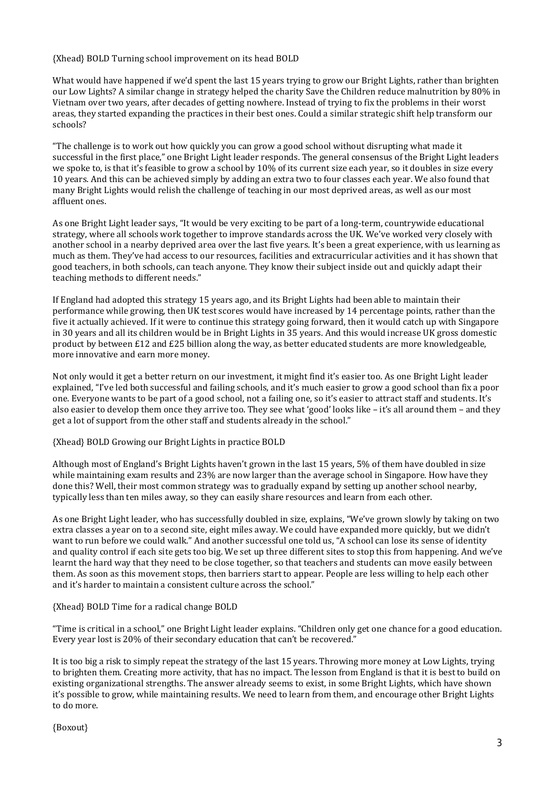## {Xhead} BOLD Turning school improvement on its head BOLD

What would have happened if we'd spent the last 15 years trying to grow our Bright Lights, rather than brighten our Low Lights? A similar change in strategy helped the charity Save the Children reduce [malnutrition](https://hbr.org/2000/01/the-power-of-positive-deviancy) by 80% in [Vietnam](https://hbr.org/2000/01/the-power-of-positive-deviancy) over two years, after decades of getting nowhere. Instead of trying to fix the problems in their worst areas, they started expanding the practices in their best ones. Could a similar strategic shift help transform our schools?

"The challenge is to work out how quickly you can grow a good school without disrupting what made it successful in the first place," one Bright Light leader responds. The general consensus of the Bright Light leaders we spoke to, is that it's feasible to grow a school by 10% of its current size each year, so it doubles in size every 10 years. And this can be achieved simply by adding an extra two to four classes each year. We also found that many Bright Lights would relish the challenge of teaching in our most deprived areas, as well as our most affluent ones.

As one Bright Light leader says, "It would be very exciting to be part of a long-term, countrywide educational strategy, where all schools work together to improve standards across the UK. We've worked very closely with another school in a nearby deprived area over the last five years. It's been a great experience, with us learning as much as them. They've had access to our resources, facilities and extracurricular activities and it has shown that good teachers, in both schools, can teach anyone. They know their subject inside out and quickly adapt their teaching methods to different needs."

If England had adopted this strategy 15 years ago, and its Bright Lights had been able to maintain their performance while growing, then UK test scores would have increased by 14 percentage points, rather than the five it actually achieved. If it were to continue this strategy going forward, then it would catch up with Singapore in 30 years and all its children would be in Bright Lights in 35 years. And this would increase UK gross [domestic](http://onlinelibrary.wiley.com/doi/10.1111/j.1467-8586.2012.00469.x/abstract) product by [between](http://onlinelibrary.wiley.com/doi/10.1111/j.1467-8586.2012.00469.x/abstract) £12 and £25 billion along the way, as better educated students are more knowledgeable, more innovative and earn more money.

Not only would it get a better return on our investment, it might find it's easier too. As one Bright Light leader explained, "I've led both successful and failing schools, and it's much easier to grow a good school than fix a poor one. Everyone wants to be part of a good school, not a failing one, so it's easier to attract staff and students. It's also easier to develop them once they arrive too. They see what 'good' looks like – it's all around them – and they get a lot of support from the other staff and students already in the school."

# {Xhead} BOLD Growing our Bright Lights in practice BOLD

Although most of England's Bright Lights haven't grown in the last 15 years, 5% of them have doubled in size while maintaining exam results and 23% are now larger than the average school in Singapore. How have they done this? Well, their most common strategy was to gradually expand by setting up another school nearby, typically less than ten miles away, so they can easily share resources and learn from each other.

As one Bright Light leader, who has successfully doubled in size, explains, "We've grown slowly by taking on two extra classes a year on to a second site, eight miles away. We could have expanded more quickly, but we didn't want to run before we could walk." And another successful one told us, "A school can lose its sense of identity and quality control if each site gets too big. We set up three different sites to stop this from happening. And we've learnt the hard way that they need to be close together, so that teachers and students can move easily between them. As soon as this movement stops, then barriers start to appear. People are less willing to help each other and it's harder to maintain a consistent culture across the school."

# {Xhead} BOLD Time for a radical change BOLD

"Time is critical in a school," one Bright Light leader explains. "Children only get one chance for a good education. Every year lost is 20% of their secondary education that can't be recovered."

It is too big a risk to simply repeat the strategy of the last 15 years. Throwing more money at Low Lights, trying to brighten them. Creating more activity, that has no impact. The lesson from England is that it is best to build on existing organizational strengths. The answer already seems to exist, in some Bright Lights, which have shown it's possible to grow, while maintaining results. We need to learn from them, and encourage other Bright Lights to do more.

{Boxout}